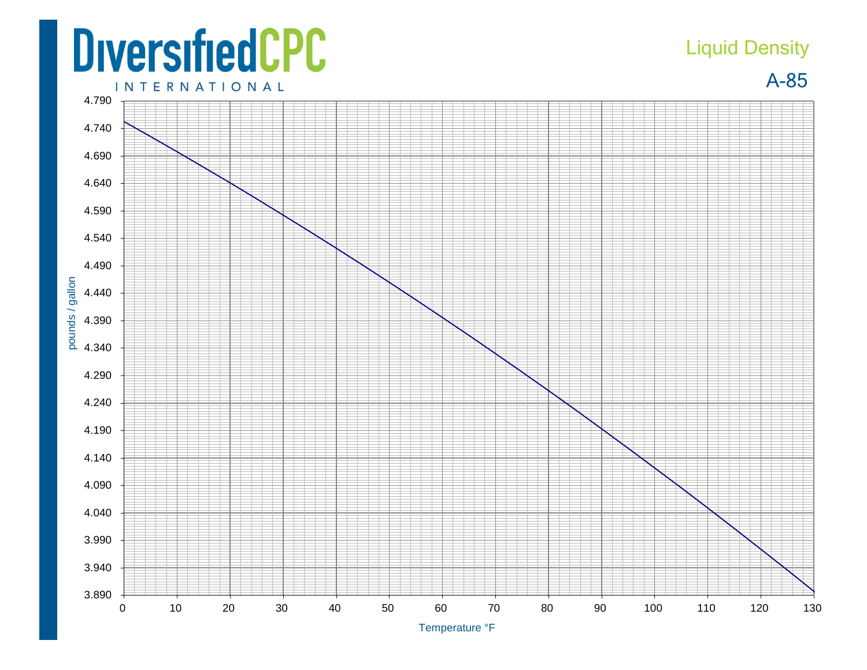## **DiversifiedCPC**

## Liquid Density